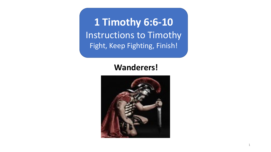**1 Timothy 6:6-10** Instructions to Timothy Fight, Keep Fighting, Finish!

## **Wanderers!**

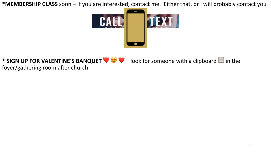\*MEMBERSHIP CLASS soon - If you are interested, contact me. Either that, or I will probably contact you



## \* SIGN UP FOR VALENTINE'S BANQUET  $\bigcirc \circ \bigcirc -$  look for someone with a clipboard  $\blacksquare$  in the foyer/gathering room after church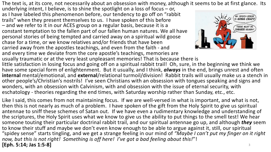The text is, at its core, not necessarily about an obsession with money, although it seems to be at first glance. Its

underlying intent, I believe, is to shine the spotlight on a loss of focus – or, as I have labeled this phenomenon before, our tendency to go off on "rabbit trails" when they present themselves to us. I have spoken of this before – and we refer to it in our ACES group on a regular basis, because it is a constant temptation to the fallen part of our fallen human natures. We all have personal stories of being tempted and carried away on a spiritual wild goose chase for a time, or we know relatives and/or friends that have been carried away from the apostles teachings, and even from the faith - and and every time we deviate from the core apostle's teachings, memories are



usually traumatic or at the very least unpleasant memories! That is because there is little satisfaction in losing focus and going off on a spiritual rabbit trail! Oh, sure, in the beginning we think we have some special form of enlightenment. But it usually, and I think, *always* in the end, brings unrest and often **internal** mental/emotional, and **external**/relational turmoil/division! Rabbit trails will usually make us a stench in other people's/Christian's nostrils! I've seen Christians with an obsession with tongues speaking and signs and wonders, with an obsession with Calvinism, with and obsession with the issue of eternal security, with eschatology - theories regarding the end times, with Saturday worship rather than Sunday, etc., etc.

Like I said, this comes from not maintaining focus. If we are well-versed in what is important, and what is not, then this is not nearly as much of a problem. I have spoken of the gift from the Holy Spirit to give us spiritual antennae to sniff these schemes of Satan out. If we have even a rudimentary knowledge and understanding of the scriptures, the Holy Spirit uses what we know to give us the ability to put things to the smell test! We hear someone touting their particular doctrinal rabbit trail, and our spiritual antennae go up, and although *they* seem to know their stuff and maybe we don't even know enough to be able to argue against it, still, our spiritual "spidey sense" starts tingling, and we get a strange feeling in our mind of *"Maybe I can't put my finger on it right now, but this is not right! Something is off here! I've got a bad feeling about this!*"! **[Eph. 5:14; Jas 1:5-8]** 3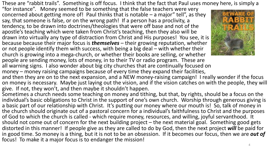These are "rabbit trails". Something is off focus. I think that the fact that Paul uses money here, is simply a

"for instance". Money seemed to be something that the false teachers were very concerned about getting more of! Paul thinks that is notable  $-$  a major" tell", as they say, that someone is false, or on the wrong path! If a person has a proclivity, a tendency, to be drawn into doctrines/theologies that were off base and not of the apostle's teaching which were taken from Christ's teaching, then they also will be drawn into virtually any type of distraction from Christ and His purposes! You see, it is because because their major focus is *themselves* – their growing reputation, whether or not people identify them with success, with being a big deal – with whether their church is growing into a mega-church, or whether their books are selling, or whether people are sending money, lots of money, in to their TV or radio program. These are all warning signs. I also wonder about big city churches that are continually focused on money – money raising campaigns because of every time they expand their facilities,



and then they are on to the next expansion, and a NEW money-raising campaign! I really wonder if the focus on money is necessary. Maybe just laying out the vision, and if the vision catches on with the people, they will give. If not, they won't, and then maybe it shouldn't happen.

Sometimes a church needs some teaching on money and tithing, but that, by rights, should be a focus on the individual's basic obligations to Christ in the support of one's own church. Worship through generous giving is a basic part of our relationship with Christ. It's putting our money where our mouth is! So, talk of money in the church should originate out of a pastoral concern for a individual's faithfulness to Christ and the purposes of God to which the church is called - which require money, resources, and willing, joyful servanthood. It should not come out of concern for the next building project – the next material goal. Something good gets distorted in this manner! If people give as they are called to do by God, then the next project *will* be paid for in good time. So money is a thing, but it is not to be an obsession. If it becomes our focus, then we are *out of* focus! To make it a major focus is to endanger the mission!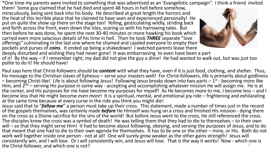\*One time my parents were invited to something that was advertised as an 'Evangelistic campaign". I think a friend invited

them! Some guy claimed that he had died and spent 48 hours in hell before somehow, miraculously, being sent back into his body. He described at great length the horrors and the heat of this terrible place that he claimed to have seen and experienced personally! He put on quite the show up there on the stage too! Yelling, gesticulating wildly, striding back and forth across the front, even down the isles, scaring us with his harrowing tales. But then before he was done, he spent the next 30-40 minutes or more hawking his book which carried even more salacious details of his time in hell. Then he took *THREE* separate "love offerings" culminating in the last one where he shamed and cajoled everyone to empty their pockets and purses of *coins*. It ended up being a shakedown! I watched parents leave there



deeply disturbed and wishing they had never gone! It was embarrassing to even have been a part of it! By the way – if I remember right, my dad did not give the guy a dime! He had wanted to walk out, but was just too polite to do it! He should have!

Paul says here that Christ-followers should be *content* with what they have, even if it is just food, clothing, and shelter. Thus, his message to the Christian slaves of Ephesus – serve your masters well! For Christ-followers, life is primarily about godliness –<br>- becoming Christ-like! Life is about following Jesus! Following Jesus breaks down into t Him, and  $2^{nd}$  – serving His purpose in some way - accepting and accomplishing whatever mission He will assign me. He is at the center, and His purposes for me have become my purposes for myself! As He becomes more to me, I become less – and I become less that He might become *even more*! It is a spiritual, mental, and emotional joy ride – frightening and exhilarating at the same time because at every curve in the ride you think you might die!

Jesus said that to "*follow me*" a person must take up their cross. This statement, made a number of times just in the record of the gospels themselves, was certainly made *before* He Himself was hung on a cross and finished His mission - dying there on the cross as a Divine sacrifice for the sins of the world! But before Jesus went to the cross, He still referenced the cross.<br>The disciples knew the cross was a symbol of death! He was telling them that they had to die will – so that they might serve Him! It had to become about following, obeying, and serving the purposes of Jesus, and to do that meant that one had to die to their own agenda for themselves. It has to be one or the other – mine, or His. Both do not work well together inside one person - not at all! One will surely grow weaker as the other gains strength! Jesus will consistently win, and I will lose. Or I will consistently win, and Jesus will lose. That is the way it works! Now - which one is the Christ-follower, and which one is not? 5